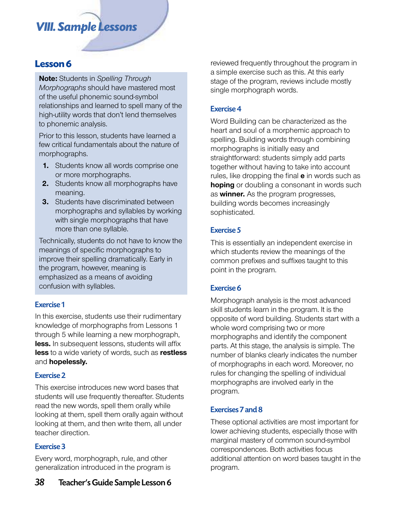# *VIII. Sample Lessons*

**Note:** Students in *Spelling Through Morphographs* should have mastered most of the useful phonemic sound-symbol relationships and learned to spell many of the high-utility words that don't lend themselves to phonemic analysis.

Prior to this lesson, students have learned a few critical fundamentals about the nature of morphographs.

- **1.** Students know all words comprise one or more morphographs.
- **2.** Students know all morphographs have meaning.
- **3.** Students have discriminated between morphographs and syllables by working with single morphographs that have more than one syllable.

Technically, students do not have to know the meanings of specific morphographs to improve their spelling dramatically. Early in the program, however, meaning is emphasized as a means of avoiding confusion with syllables.

# Exercise 1

In this exercise, students use their rudimentary knowledge of morphographs from Lessons 1 through 5 while learning a new morphograph, **less.** In subsequent lessons, students will affix **less** to a wide variety of words, such as **restless** and **hopelessly.**

# Exercise 2

This exercise introduces new word bases that students will use frequently thereafter. Students read the new words, spell them orally while looking at them, spell them orally again without looking at them, and then write them, all under teacher direction.

# Exercise 3

Every word, morphograph, rule, and other generalization introduced in the program is

# Exercise 4

Word Building can be characterized as the heart and soul of a morphemic approach to spelling. Building words through combining morphographs is initially easy and straightforward: students simply add parts together without having to take into account rules, like dropping the final **e** in words such as **hoping** or doubling a consonant in words such as **winner.** As the program progresses, building words becomes increasingly sophisticated.

# Exercise 5

This is essentially an independent exercise in which students review the meanings of the common prefixes and suffixes taught to this point in the program.

# Exercise 6

Morphograph analysis is the most advanced skill students learn in the program. It is the opposite of word building. Students start with a whole word comprising two or more morphographs and identify the component parts. At this stage, the analysis is simple. The number of blanks clearly indicates the number of morphographs in each word. Moreover, no rules for changing the spelling of individual morphographs are involved early in the program.

# Exercises 7 and 8

These optional activities are most important for lower achieving students, especially those with marginal mastery of common sound-symbol correspondences. Both activities focus additional attention on word bases taught in the program.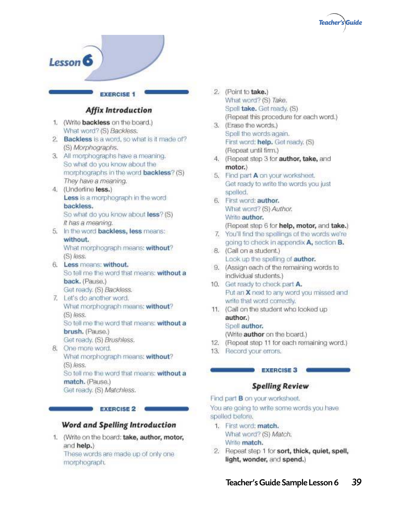



#### Word and Spelling Introduction

1. (Write on the board: take, author, motor, and help.) These words are made up of only one morphograph.

- 2. (Point to take.) What word? (S) Take. Spell take, Get ready, (S) (Repeat this procedure for each word.)
- 3. (Erase the words.) Spell the words again. First word: help. Get ready. (S) (Repeat until firm.)
- 4. (Repeat step 3 for author, take, and motor.)
- 5. Find part A on your worksheet. Get ready to write the words you just spelled.
- 6. First word: author. What word? (S) Author. Write author. (Repeat step 6 for help, motor, and take.)
- 7. You'll find the spellings of the words we're going to check in appendix A, section B.
- 8. (Call on a student.) Look up the spelling of author.
- 9. (Assign each of the remaining words to individual students.)
- 10. Get ready to check part A. Put an X next to any word you missed and write that word correctly.
- 11. (Call on the student who looked up author.) Spell author. (Write author on the board.)
- 12. (Repeat step 11 for each remaining word.)
- 13. Record your errors.

#### **EXERCISE 3**

#### **Spelling Review**

Find part **B** on your worksheet. You are going to write some words you have

spelled before.

- 1. First word: match. What word? (S) Match. Write match.
- 2. Repeat step 1 for sort, thick, quiet, spell, light, wonder, and spend.)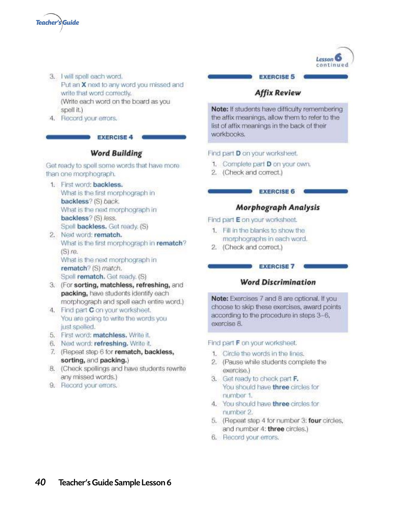

- 3. I will spell each word. Put an X next to any word you missed and write that word correctly. (Write each word on the board as you spell it.)
- 4. Record your errors.

#### **EXERCISE 4**

#### **Word Building**

Get ready to spell some words that have more than one morphograph.

- 1. First word: backless. What is the first morphograph in backless? (S) back. What is the next morphograph in backless? (S) less. Spell backless. Get ready. (S)
- 2. Next word: rematch. What is the first morphograph in rematch?  $(S)$  re. What is the next morphograph in rematch? (S) match. Spell rematch. Get ready. (S)
- 3. (For sorting, matchless, refreshing, and packing, have students identify each morphograph and spell each entire word.)
- 4. Find part C on your worksheet. You are going to write the words you just spelled.
- 5. First word: matchless. Write it.
- 6. Next word: refreshing. Write it.
- 7. (Repeat step 6 for rematch, backless, sorting, and packing.)
- 8. (Check spellings and have students rewrite any missed words.)
- 9. Record your errors.

### **EXERCISE 5**

Lesson<sup>C</sup> continued

### **Affix Review**

Note: If students have difficulty remembering the affix meanings, allow them to refer to the list of affix meanings in the back of their workbooks.

#### Find part D on your worksheet.

- 1. Complete part D on your own.
- 2. (Check and correct.)

#### **EXERCISE 6**

#### **Morphograph Analysis**

Find part E on your worksheet.

- 1. Fill in the blanks to show the morphographs in each word.
- 2. (Check and correct.)

#### **EXERCISE 7**

#### **Word Discrimination**

Note: Exercises 7 and 8 are optional. If you choose to skip these exercises, award points according to the procedure in steps 3-6. exercise 8.

#### Find part F on your worksheet.

- 1. Circle the words in the lines.
- 2. (Pause while students complete the exercise.)
- 3. Get ready to check part F. You should have three circles for number 1.
- 4. You should have three circles for number 2.
- 5. (Repeat step 4 for number 3: four circles, and number 4: three circles.)
- 6. Record your errors.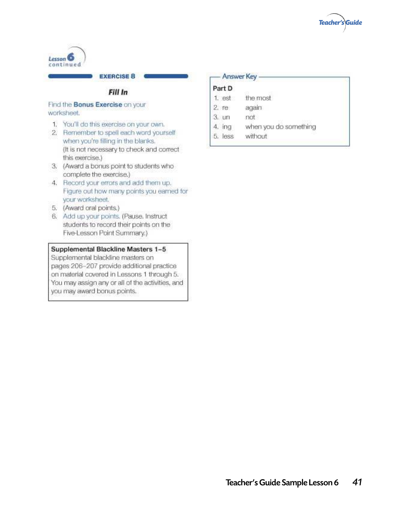



#### **EXERCISE 8**

### Fill In

#### Find the **Bonus Exercise** on your worksheet.

- 1. You'll do this exercise on your own.
- 2. Remember to spell each word yourself when you're filling in the blanks. (It is not necessary to check and correct this exercise.)
- 3. (Award a bonus point to students who complete the exercise.)
- 4. Record your errors and add them up. Figure out how many points you earned for your worksheet.
- 5. (Award oral points.)
- 6. Add up your points. (Pause, Instruct students to record their points on the Five-Lesson Point Summary.)

#### Supplemental Blackline Masters 1-5

Supplemental blackline masters on pages 206-207 provide additional practice on material covered in Lessons 1 through 5. You may assign any or all of the activities, and you may award bonus points.

#### Answer Key

### Part D

- 1. est the most
- $2.7e$ again
- $3.  $\cup \cap$$ not
- $4.$  ing when you do something
- 5. less without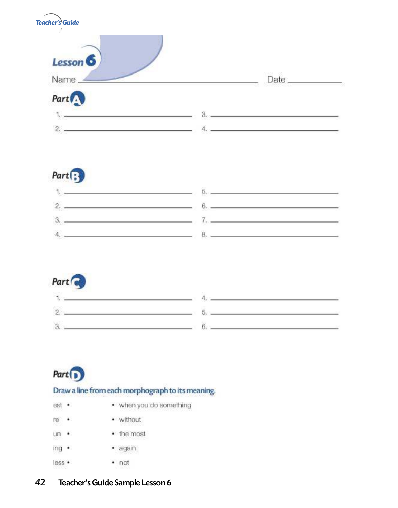

# $Part$   $\left\{ \right\}$

|           | ೧೮    |
|-----------|-------|
| $\sim$    | -10   |
| m<br>ಾಂಕ್ | ser – |
|           |       |



| and the state of the |   |  |
|----------------------|---|--|
|                      | . |  |
|                      |   |  |

# Part <sup>1</sup>

# Draw a line from each morphograph to its meaning.

- when you do something est ·
- · without re ·
- the most un ·
- · again ing ·
- less ·  $-$  not

#### 42 Teacher's Guide Sample Lesson 6